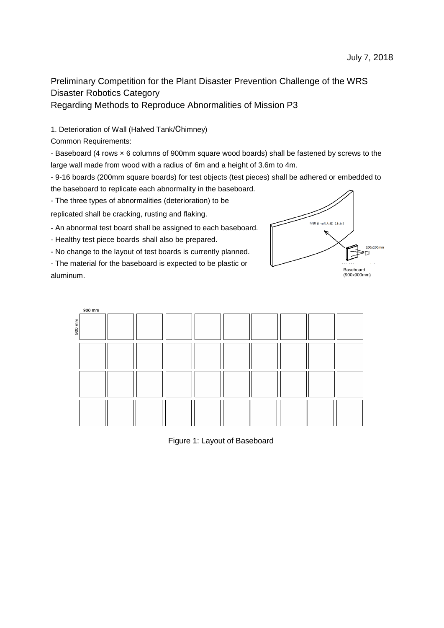## Preliminary Competition for the Plant Disaster Prevention Challenge of the WRS Disaster Robotics Category Regarding Methods to Reproduce Abnormalities of Mission P3

1. Deterioration of Wall (Halved Tank/Chimney)

Common Requirements:

- Baseboard (4 rows × 6 columns of 900mm square wood boards) shall be fastened by screws to the large wall made from wood with a radius of 6m and a height of 3.6m to 4m.

- 9-16 boards (200mm square boards) for test objects (test pieces) shall be adhered or embedded to the baseboard to replicate each abnormality in the baseboard.

- The three types of abnormalities (deterioration) to be

replicated shall be cracking, rusting and flaking.

- An abnormal test board shall be assigned to each baseboard.

- Healthy test piece boards shall also be prepared.

- No change to the layout of test boards is currently planned.

- The material for the baseboard is expected to be plastic or aluminum.





Figure 1: Layout of Baseboard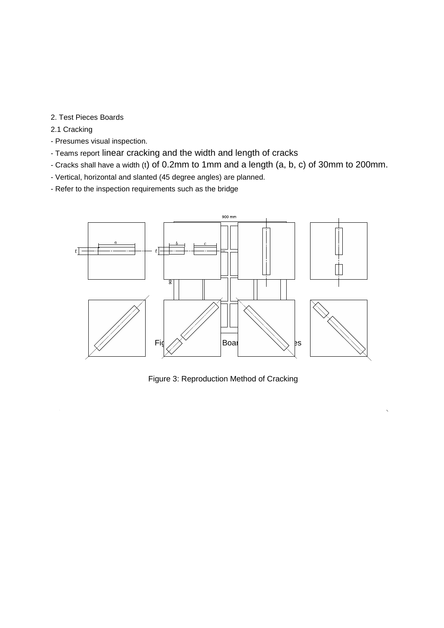- 2. Test Pieces Boards
- 2.1 Cracking
- Presumes visual inspection.
- Teams report linear cracking and the width and length of cracks
- Cracks shall have a width (t) of 0.2mm to 1mm and a length (a, b, c) of 30mm to 200mm.
- Vertical, horizontal and slanted (45 degree angles) are planned.
- Refer to the inspection requirements such as the bridge



Figure 3: Reproduction Method of Cracking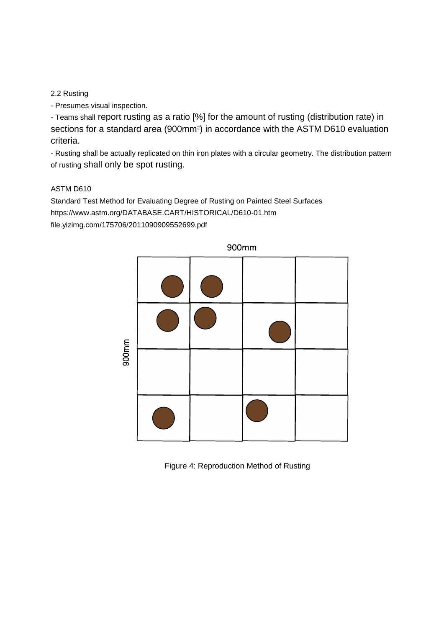## 2.2 Rusting

- Presumes visual inspection.

- Teams shall report rusting as a ratio [%] for the amount of rusting (distribution rate) in sections for a standard area (900mm<sup>2</sup>) in accordance with the ASTM D610 evaluation criteria.

- Rusting shall be actually replicated on thin iron plates with a circular geometry. The distribution pattern of rusting shall only be spot rusting.

## ASTM D610

Standard Test Method for Evaluating Degree of Rusting on Painted Steel Surfaces https://www.astm.org/DATABASE.CART/HISTORICAL/D610-01.htm file.yizimg.com/175706/2011090909552699.pdf



Figure 4: Reproduction Method of Rusting